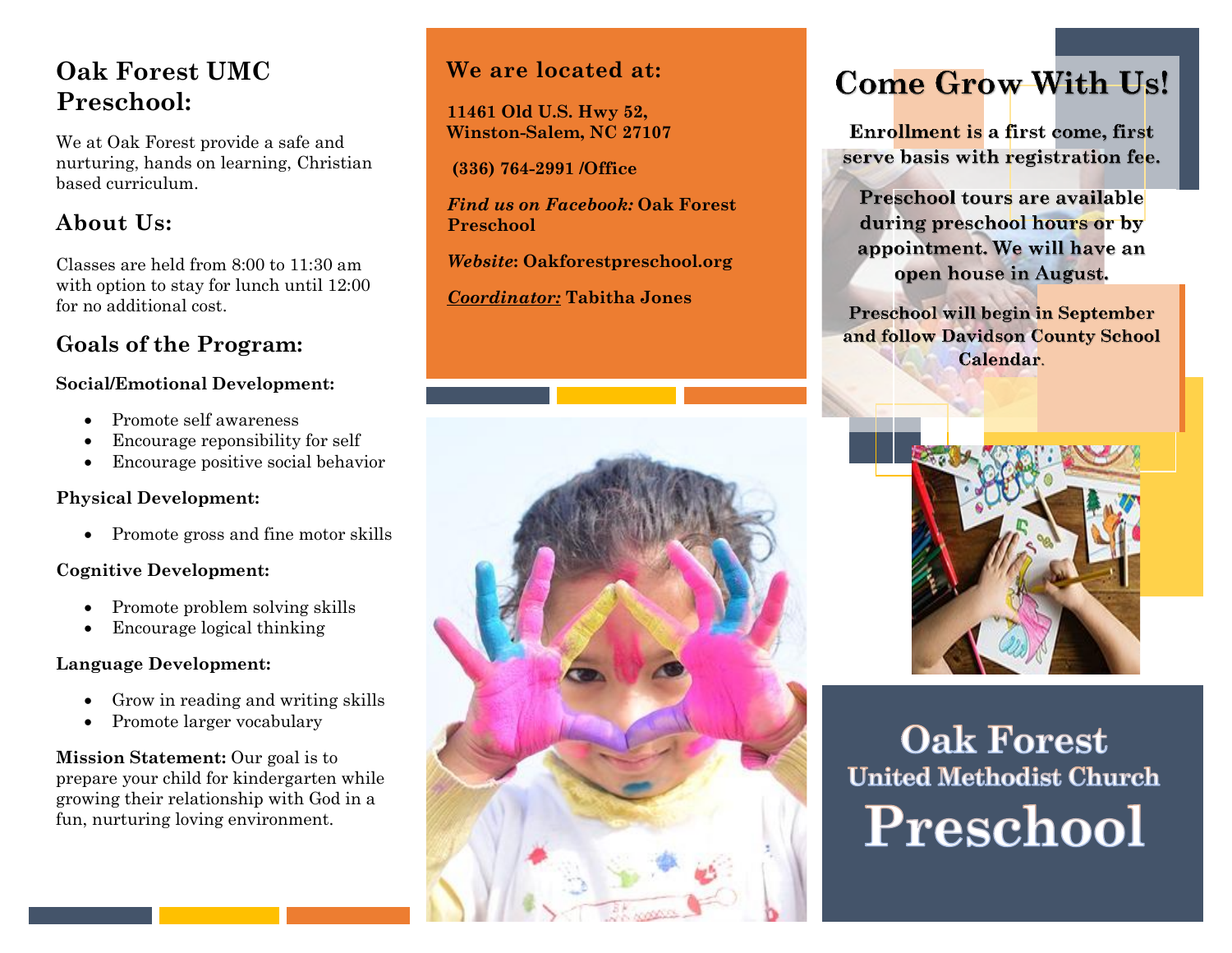# **Oak Forest UMC Preschool:**

We at Oak Forest provide a safe and nurturing, hands on learning, Christian based curriculum.

# **About Us:**

Classes are held from 8:00 to 11:30 am with option to stay for lunch until 12:00 for no additional cost.

# **Goals of the Program:**

#### **Social/Emotional Development:**

- Promote self awareness
- Encourage reponsibility for self
- Encourage positive social behavior

### **Physical Development:**

• Promote gross and fine motor skills

### **Cognitive Development:**

- Promote problem solving skills
- Encourage logical thinking

### **Language Development:**

- Grow in reading and writing skills
- Promote larger vocabulary

**Mission Statement:** Our goal is to prepare your child for kindergarten while growing their relationship with God in a fun, nurturing loving environment.

# **We are located at:**

**11461 Old U.S. Hwy 52, Winston-Salem, NC 27107**

**(336) 764-2991 /Office**

*Find us on Facebook:* **Oak Forest Preschool**

*Website***: Oakforestpreschool.org**

*Coordinator:* **Tabitha Jones**

# **Come Grow With Us!**

**Enrollment is a first come, first** serve basis with registration fee.

Preschool tours are available during preschool hours or by appointment. We will have an open house in August.

Preschool will begin in September and follow Davidson County School Calendar.



# **Oak Forest United Methodist Church** Preschool